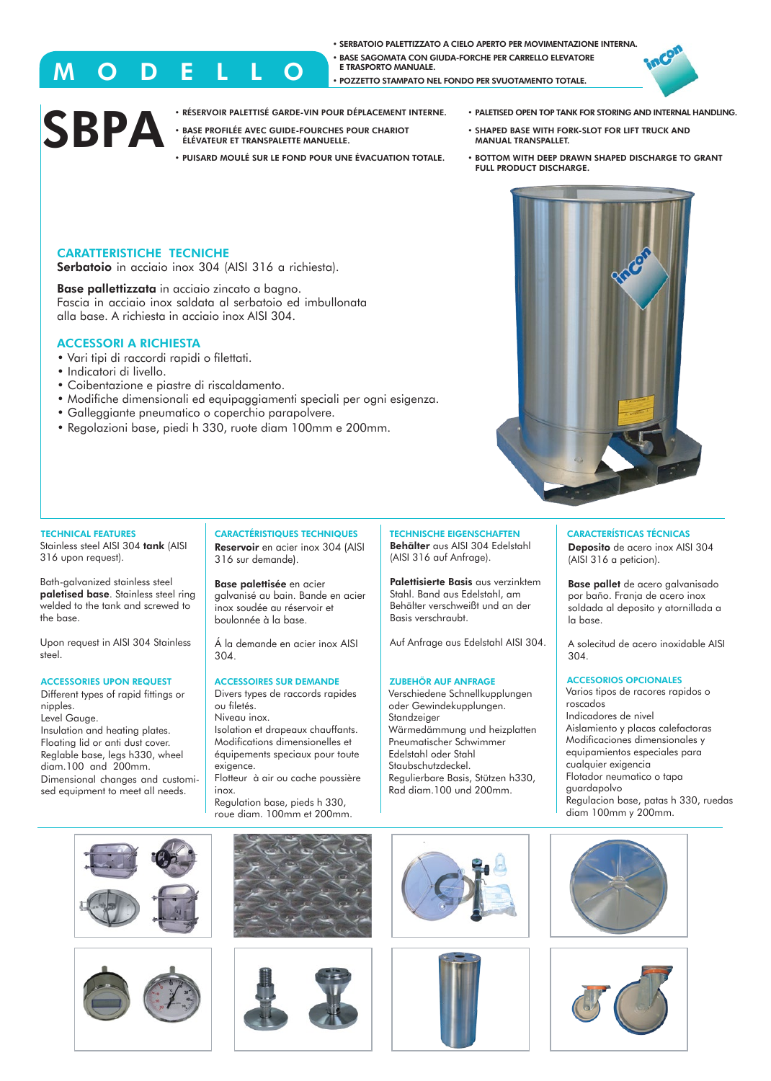• SERBATOIO PALETTIZZATO A CIELO APERTO PER MOVIMENTAZIONE INTERNA. • BASE SAGOMATA CON GIUDA-FORCHE PER CARRELLO ELEVATORE E TRASPORTO MANUALE. • POZZETTO STAMPATO NEL FONDO PER SVUOTAMENTO TOTALE..



# **SBPA**

- RÉSERVOIR PALETTISÉ GARDE-VIN POUR DÉPLACEMENT INTERNE.
- **BASE PROFILÉE AVEC GUIDE-FOURCHES POUR CHARIOT** ÉLÉVATEUR ET TRANSPALETTE MANUELLE.
- PUISARD MOULÉ SUR LE FOND POUR UNE ÉVACUATION TOTALE.
- PALETISED OPEN TOP TANK FOR STORING AND INTERNAL HANDLING.
- SHAPED BASE WITH FORK-SLOT FOR LIFT TRUCK AND MANUAL TRANSPALLET.
- BOTTOM WITH DEEP DRAWN SHAPED DISCHARGE TO GRANT FULL PRODUCT DISCHARGE.

# CARATTERISTICHE TECNICHE

Serbatoio in acciaio inox 304 (AISI 316 a richiesta).

M O D E L L O

Base pallettizzata in acciaio zincato a bagno. Fascia in acciaio inox saldata al serbatoio ed imbullonata alla base. A richiesta in acciaio inox AISI 304.

### ACCESSORI A RICHIESTA

- Vari tipi di raccordi rapidi o filettati.
- Indicatori di livello.
- Coibentazione e piastre di riscaldamento.
- Modifiche dimensionali ed equipaggiamenti speciali per ogni esigenza.
- Galleggiante pneumatico o coperchio parapolvere.
- Regolazioni base, piedi h 330, ruote diam 100mm e 200mm.



#### TECHNICAL FEATURES

Stainless steel AISI 304 tank (AISI 316 upon request).

Bath-galvanized stainless steel paletised base. Stainless steel ring .<br>welded to the tank and screwed to the base.

Upon request in AISI 304 Stainless steel.

#### ACCESSORIES UPON REQUEST

Different types of rapid fittings or nipples. Level Gauge. Insulation and heating plates. Floating lid or anti dust cover. Reglable base, legs h330, wheel diam.100 and 200mm. Dimensional changes and customised equipment to meet all needs.

CARACTÉRISTIQUES TECHNIQUES Reservoir en acier inox 304 (AISI 316 sur demande).

Base palettisée en acier galvanisé au bain. Bande en acier inox soudée au réservoir et boulonnée à la base.

Á la demande en acier inox AISI 304.

#### ACCESSOIRES SUR DEMANDE

Divers types de raccords rapides ou filetés. Niveau inox.

Isolation et drapeaux chauffants. Modifications dimensionelles et équipements speciaux pour toute exigence. Flotteur à air ou cache poussière

inox. Regulation base, pieds h 330,

roue diam. 100mm et 200mm.

TECHNISCHE EIGENSCHAFTEN Behälter aus AISI 304 Edelstahl (AISI 316 auf Anfrage).

Palettisierte Basis aus verzinktem Stahl. Band aus Edelstahl, am Behälter verschweißt und an der Basis verschraubt.

Auf Anfrage aus Edelstahl AISI 304.

#### ZUBEHÖR AUF ANFRAGE

Verschiedene Schnellkupplungen oder Gewindekupplungen. Wärmedämmung und heizplatten Edelstahl oder Stahl Staubschutzdeckel. Regulierbare Basis, Stützen h330, Rad diam.100 und 200mm.





CARACTERÍSTICAS TÉCNICAS Deposito de acero inox AISI 304

(AISI 316 a peticion).

Base pallet de acero galvanisado por baño. Franja de acero inox soldada al deposito y atornillada a la base.

A solecitud de acero inoxidable AISI 304.

#### ACCESORIOS OPCIONALES

Varios tipos de racores rapidos o roscados Indicadores de nivel Aislamiento y placas calefactoras Modificaciones dimensionales y equipamientos especiales para cualquier exigencia Flotador neumatico o tapa guardapolvo Regulacion base, patas h 330, ruedas diam 100mm y 200mm.















Standzeiger Pneumatischer Schwimmer